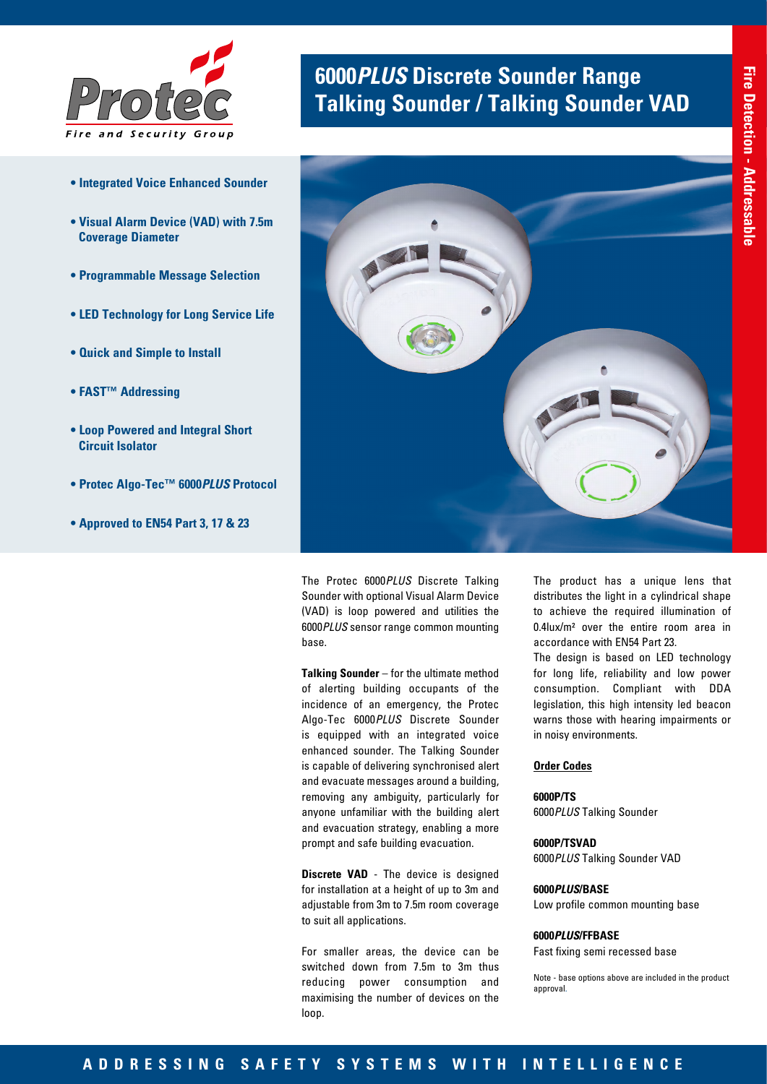

- **Integrated Voice Enhanced Sounder**
- **Visual Alarm Device (VAD) with 7.5m Coverage Diameter**
- **Programmable Message Selection**
- **LED Technology for Long Service Life**
- **Quick and Simple to Install**
- **FAST™ Addressing**
- **Loop Powered and Integral Short Circuit Isolator**
- **Protec Algo-Tec™ 6000***PLUS* **Protocol**
- **Approved to EN54 Part 3, 17 & 23**

# **6000***PLUS* **Discrete Sounder Range Talking Sounder / Talking Sounder VAD**



The Protec 6000*PLUS* Discrete Talking Sounder with optional Visual Alarm Device (VAD) is loop powered and utilities the 6000*PLUS* sensor range common mounting base.

**Talking Sounder** – for the ultimate method of alerting building occupants of the incidence of an emergency, the Protec Algo-Tec 6000*PLUS* Discrete Sounder is equipped with an integrated voice enhanced sounder. The Talking Sounder is capable of delivering synchronised alert and evacuate messages around a building, removing any ambiguity, particularly for anyone unfamiliar with the building alert and evacuation strategy, enabling a more prompt and safe building evacuation.

**Discrete VAD** - The device is designed for installation at a height of up to 3m and adjustable from 3m to 7.5m room coverage to suit all applications.

For smaller areas, the device can be switched down from 7.5m to 3m thus reducing power consumption and maximising the number of devices on the loop.

The product has a unique lens that distributes the light in a cylindrical shape to achieve the required illumination of 0.4lux/m² over the entire room area in accordance with EN54 Part 23.

The design is based on LED technology for long life, reliability and low power consumption. Compliant with DDA legislation, this high intensity led beacon warns those with hearing impairments or in noisy environments.

## **Order Codes**

#### **6000P/TS**

6000*PLUS* Talking Sounder

## **6000P/TSVAD**

6000*PLUS* Talking Sounder VAD

#### **6000***PLUS***/BASE**

Low profile common mounting base

### **6000***PLUS***/FFBASE**

Fast fixing semi recessed base

Note - base options above are included in the product approval.